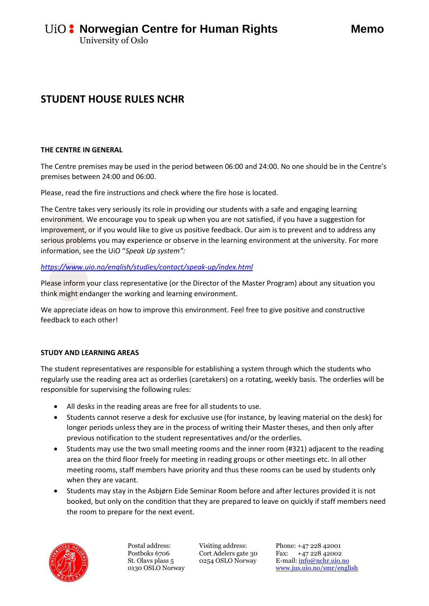# **STUDENT HOUSE RULES NCHR**

#### **THE CENTRE IN GENERAL**

The Centre premises may be used in the period between 06:00 and 24:00. No one should be in the Centre's premises between 24:00 and 06:00.

Please, read the fire instructions and check where the fire hose is located.

The Centre takes very seriously its role in providing our students with a safe and engaging learning environment. We encourage you to speak up when you are not satisfied, if you have a suggestion for improvement, or if you would like to give us positive feedback. Our aim is to prevent and to address any serious problems you may experience or observe in the learning environment at the university. For more information, see the UiO "*Speak Up system":*

## *<https://www.uio.no/english/studies/contact/speak-up/index.html>*

Please inform your class representative (or the Director of the Master Program) about any situation you think might endanger the working and learning environment.

We appreciate ideas on how to improve this environment. Feel free to give positive and constructive feedback to each other!

## **STUDY AND LEARNING AREAS**

The student representatives are responsible for establishing a system through which the students who regularly use the reading area act as orderlies (caretakers) on a rotating, weekly basis. The orderlies will be responsible for supervising the following rules:

- All desks in the reading areas are free for all students to use.
- Students cannot reserve a desk for exclusive use (for instance, by leaving material on the desk) for longer periods unless they are in the process of writing their Master theses, and then only after previous notification to the student representatives and/or the orderlies.
- Students may use the two small meeting rooms and the inner room (#321) adjacent to the reading area on the third floor freely for meeting in reading groups or other meetings etc. In all other meeting rooms, staff members have priority and thus these rooms can be used by students only when they are vacant.
- Students may stay in the Asbjørn Eide Seminar Room before and after lectures provided it is not booked, but only on the condition that they are prepared to leave on quickly if staff members need the room to prepare for the next event.



Postal address: Postboks 6706 St. Olavs plass 5 0130 OSLO Norway Visiting address: Cort Adelers gate 30 0254 OSLO Norway

Phone: +47 228 42001 Fax: +47 228 42002 E-mail[: info@nchr.uio.no](mailto:info@nchr.uio.no) <www.jus.uio.no/smr/english>